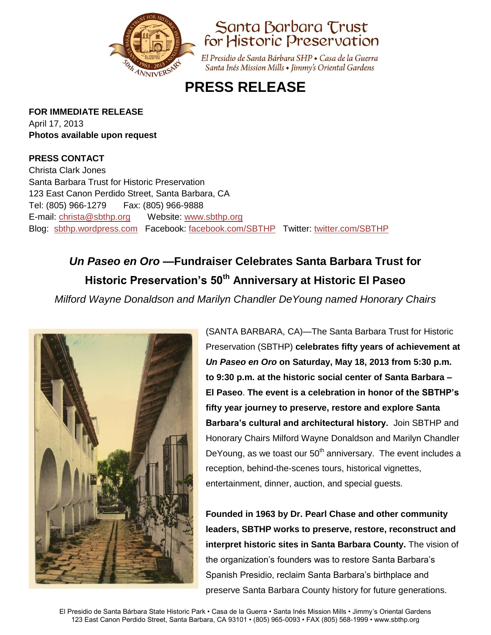



El Presidio de Santa Bárbara SHP · Casa de la Guerra Santa Inés Mission Mills • Jimmy's Oriental Gardens

## **PRESS RELEASE**

**FOR IMMEDIATE RELEASE** April 17, 2013

**Photos available upon request**

### **PRESS CONTACT**

Christa Clark Jones Santa Barbara Trust for Historic Preservation 123 East Canon Perdido Street, Santa Barbara, CA Tel: (805) 966-1279 Fax: (805) 966-9888 E-mail: [christa@sbthp.org](mailto:christa@sbthp.org) Website: [www.sbthp.org](http://www.sbthp.org/) Blog: [sbthp.wordpress.com](http://sbthp.wordpress.com/) Facebook: [facebook.com/SBTHP](http://www.facebook.com/SBTHP) Twitter: [twitter.com/SBTHP](http://twitter.com/SBTHP)

# *Un Paseo en Oro* **—Fundraiser Celebrates Santa Barbara Trust for Historic Preservation's 50th Anniversary at Historic El Paseo**

*Milford Wayne Donaldson and Marilyn Chandler DeYoung named Honorary Chairs*



(SANTA BARBARA, CA)—The Santa Barbara Trust for Historic Preservation (SBTHP) **celebrates fifty years of achievement at** *Un Paseo en Oro* **on Saturday, May 18, 2013 from 5:30 p.m. to 9:30 p.m. at the historic social center of Santa Barbara – El Paseo**. **The event is a celebration in honor of the SBTHP's fifty year journey to preserve, restore and explore Santa Barbara's cultural and architectural history.** Join SBTHP and Honorary Chairs Milford Wayne Donaldson and Marilyn Chandler DeYoung, as we toast our  $50<sup>th</sup>$  anniversary. The event includes a reception, behind-the-scenes tours, historical vignettes, entertainment, dinner, auction, and special guests.

**Founded in 1963 by Dr. Pearl Chase and other community leaders, SBTHP works to preserve, restore, reconstruct and interpret historic sites in Santa Barbara County.** The vision of the organization's founders was to restore Santa Barbara's Spanish Presidio, reclaim Santa Barbara's birthplace and preserve Santa Barbara County history for future generations.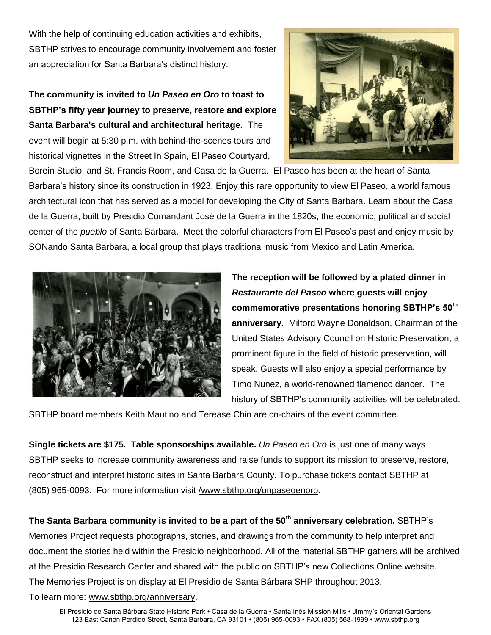With the help of continuing education activities and exhibits, SBTHP strives to encourage community involvement and foster an appreciation for Santa Barbara's distinct history.

## **The community is invited to** *Un Paseo en Oro* **to toast to SBTHP's fifty year journey to preserve, restore and explore Santa Barbara's cultural and architectural heritage.** The event will begin at 5:30 p.m. with behind-the-scenes tours and historical vignettes in the Street In Spain, El Paseo Courtyard,



Borein Studio, and St. Francis Room, and Casa de la Guerra. El Paseo has been at the heart of Santa Barbara's history since its construction in 1923. Enjoy this rare opportunity to view El Paseo, a world famous architectural icon that has served as a model for developing the City of Santa Barbara. Learn about the Casa de la Guerra, built by Presidio Comandant José de la Guerra in the 1820s, the economic, political and social center of the *pueblo* of Santa Barbara. Meet the colorful characters from El Paseo's past and enjoy music by SONando Santa Barbara, a local group that plays traditional music from Mexico and Latin America.



**The reception will be followed by a plated dinner in**  *Restaurante del Paseo* **where guests will enjoy commemorative presentations honoring SBTHP's 50th anniversary.** Milford Wayne Donaldson, Chairman of the United States Advisory Council on Historic Preservation, a prominent figure in the field of historic preservation, will speak. Guests will also enjoy a special performance by Timo Nunez, a world-renowned flamenco dancer. The history of SBTHP's community activities will be celebrated.

SBTHP board members Keith Mautino and Terease Chin are co-chairs of the event committee.

**Single tickets are \$175. Table sponsorships available.** *Un Paseo en Oro* is just one of many ways SBTHP seeks to increase community awareness and raise funds to support its mission to preserve, restore, reconstruct and interpret historic sites in Santa Barbara County. To purchase tickets contact SBTHP at (805) 965-0093.For more information visit [/www.sbthp.org/unpaseoenoro](http://www.sbthp.org/unpaseoenoro.htm)**.**

**The Santa Barbara community is invited to be a part of the 50th anniversary celebration.** SBTHP's Memories Project requests photographs, stories, and drawings from the community to help interpret and document the stories held within the Presidio neighborhood. All of the material SBTHP gathers will be archived at the Presidio Research Center and shared with the public on SBTHP's new [Collections Online](http://omeka.sbthp.org/) website. The Memories Project is on display at El Presidio de Santa Bárbara SHP throughout 2013.

To learn more: [www.sbthp.org/anniversary.](http://www.sbthp.org/anniversary.htm)